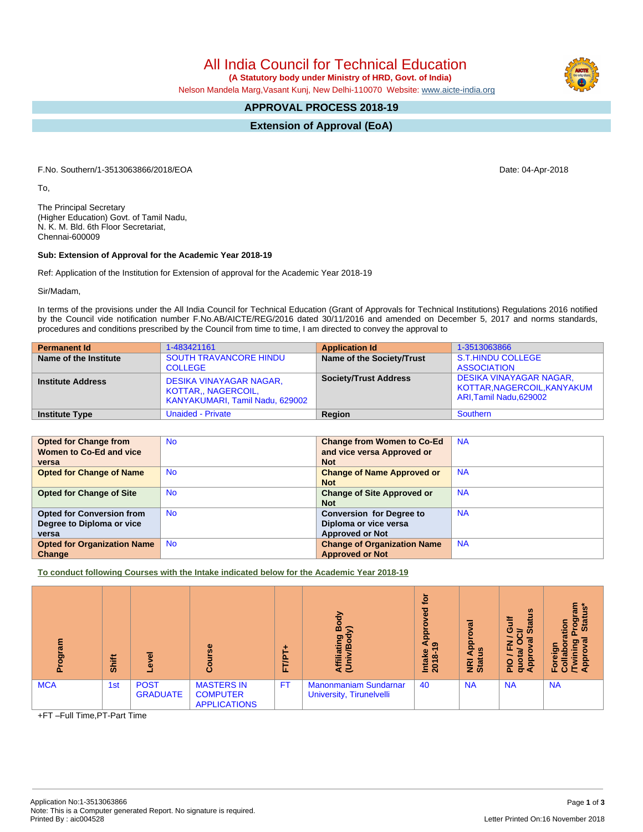All India Council for Technical Education  **(A Statutory body under Ministry of HRD, Govt. of India)**

Nelson Mandela Marg,Vasant Kunj, New Delhi-110070 Website: [www.aicte-india.org](http://www.aicte-india.org)

## **APPROVAL PROCESS 2018-19**

**Extension of Approval (EoA)**

F.No. Southern/1-3513063866/2018/EOA Date: 04-Apr-2018

To,

The Principal Secretary (Higher Education) Govt. of Tamil Nadu, N. K. M. Bld. 6th Floor Secretariat, Chennai-600009

## **Sub: Extension of Approval for the Academic Year 2018-19**

Ref: Application of the Institution for Extension of approval for the Academic Year 2018-19

Sir/Madam,

In terms of the provisions under the All India Council for Technical Education (Grant of Approvals for Technical Institutions) Regulations 2016 notified by the Council vide notification number F.No.AB/AICTE/REG/2016 dated 30/11/2016 and amended on December 5, 2017 and norms standards, procedures and conditions prescribed by the Council from time to time, I am directed to convey the approval to

| <b>Permanent Id</b>      | 1-483421161                                                                              | <b>Application Id</b>        | 1-3513063866                                                                             |
|--------------------------|------------------------------------------------------------------------------------------|------------------------------|------------------------------------------------------------------------------------------|
| Name of the Institute    | <b>SOUTH TRAVANCORE HINDU</b><br><b>COLLEGE</b>                                          | Name of the Society/Trust    | S.T.HINDU COLLEGE<br><b>ASSOCIATION</b>                                                  |
| <b>Institute Address</b> | <b>DESIKA VINAYAGAR NAGAR,</b><br>KOTTAR., NAGERCOIL,<br>KANYAKUMARI, Tamil Nadu, 629002 | <b>Society/Trust Address</b> | <b>DESIKA VINAYAGAR NAGAR,</b><br>KOTTAR, NAGERCOIL, KANYAKUM<br>ARI, Tamil Nadu, 629002 |
| <b>Institute Type</b>    | <b>Unaided - Private</b>                                                                 | Region                       | Southern                                                                                 |

| <b>Opted for Change from</b>       | <b>No</b> | <b>Change from Women to Co-Ed</b>  | <b>NA</b> |
|------------------------------------|-----------|------------------------------------|-----------|
|                                    |           |                                    |           |
| Women to Co-Ed and vice            |           | and vice versa Approved or         |           |
| versa                              |           | <b>Not</b>                         |           |
| <b>Opted for Change of Name</b>    | <b>No</b> | <b>Change of Name Approved or</b>  | <b>NA</b> |
|                                    |           | <b>Not</b>                         |           |
| <b>Opted for Change of Site</b>    | <b>No</b> | <b>Change of Site Approved or</b>  | <b>NA</b> |
|                                    |           | <b>Not</b>                         |           |
| <b>Opted for Conversion from</b>   | <b>No</b> | <b>Conversion for Degree to</b>    | <b>NA</b> |
| Degree to Diploma or vice          |           | Diploma or vice versa              |           |
| versa                              |           | <b>Approved or Not</b>             |           |
| <b>Opted for Organization Name</b> | <b>No</b> | <b>Change of Organization Name</b> | <b>NA</b> |
| Change                             |           | <b>Approved or Not</b>             |           |

**To conduct following Courses with the Intake indicated below for the Academic Year 2018-19**

| ogram      | Shift | $\omega$                       | $\omega$                                                    | E<br>u.   | Body<br>Affiliating<br>(Univ/Body                               | ٩ĭ<br>್ಥಾ<br>ga<br>െ<br>Intake<br>2018-1 | ಹ<br><b>App</b><br>9<br>NRI<br>Stat | <b>SC</b><br>ă<br>s<br>$\sigma$<br>ŏ<br>O<br>≃<br>œ<br>z<br>ш.<br>å<br>∘<br>o<br>ᇍ<br>ਠ<br>Œ | ε<br>စ္ပ<br>ation<br><b>Sta</b><br>운<br>O<br>$\ddot{\mathbf{c}}$ |
|------------|-------|--------------------------------|-------------------------------------------------------------|-----------|-----------------------------------------------------------------|------------------------------------------|-------------------------------------|----------------------------------------------------------------------------------------------|------------------------------------------------------------------|
| <b>MCA</b> | 1st   | <b>POST</b><br><b>GRADUATE</b> | <b>MASTERS IN</b><br><b>COMPUTER</b><br><b>APPLICATIONS</b> | <b>FT</b> | <b>Manonmaniam Sundarnar</b><br><b>University, Tirunelvelli</b> | 40                                       | <b>NA</b>                           | <b>NA</b>                                                                                    | <b>NA</b>                                                        |

+FT –Full Time,PT-Part Time

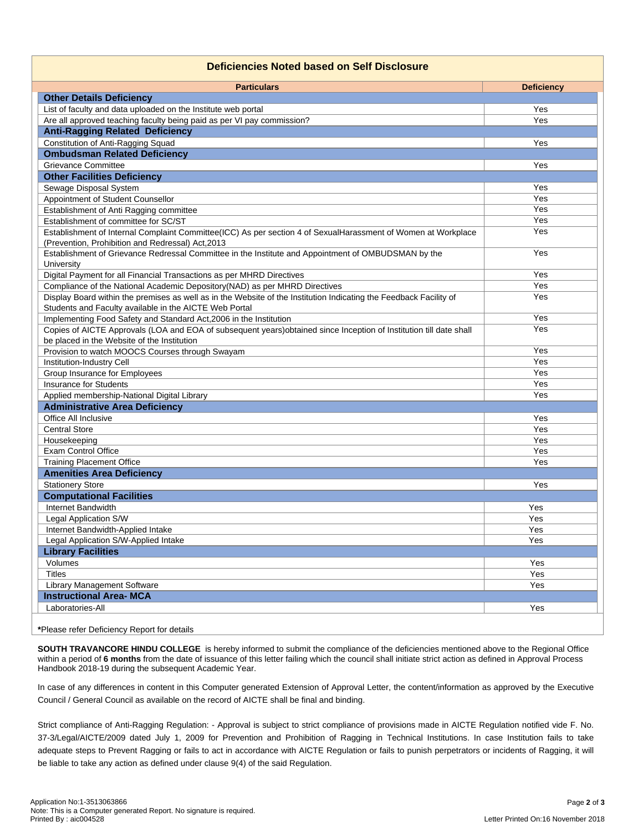## **Deficiencies Noted based on Self Disclosure**

| <b>Particulars</b>                                                                                                  | <b>Deficiency</b> |
|---------------------------------------------------------------------------------------------------------------------|-------------------|
| <b>Other Details Deficiency</b>                                                                                     |                   |
| List of faculty and data uploaded on the Institute web portal                                                       | Yes               |
| Are all approved teaching faculty being paid as per VI pay commission?                                              | Yes               |
| <b>Anti-Ragging Related Deficiency</b>                                                                              |                   |
| <b>Constitution of Anti-Ragging Squad</b>                                                                           | Yes               |
| <b>Ombudsman Related Deficiency</b>                                                                                 |                   |
| Grievance Committee                                                                                                 | Yes               |
| <b>Other Facilities Deficiency</b>                                                                                  |                   |
| Sewage Disposal System                                                                                              | Yes               |
| Appointment of Student Counsellor                                                                                   | Yes               |
| Establishment of Anti Ragging committee                                                                             | Yes               |
| Establishment of committee for SC/ST                                                                                | Yes               |
| Establishment of Internal Complaint Committee(ICC) As per section 4 of SexualHarassment of Women at Workplace       | Yes               |
| (Prevention, Prohibition and Redressal) Act, 2013                                                                   |                   |
| Establishment of Grievance Redressal Committee in the Institute and Appointment of OMBUDSMAN by the                 | Yes               |
| University                                                                                                          |                   |
| Digital Payment for all Financial Transactions as per MHRD Directives                                               | Yes               |
| Compliance of the National Academic Depository (NAD) as per MHRD Directives                                         | Yes               |
| Display Board within the premises as well as in the Website of the Institution Indicating the Feedback Facility of  | Yes               |
| Students and Faculty available in the AICTE Web Portal                                                              |                   |
| Implementing Food Safety and Standard Act, 2006 in the Institution                                                  | Yes               |
| Copies of AICTE Approvals (LOA and EOA of subsequent years) obtained since Inception of Institution till date shall | Yes               |
| be placed in the Website of the Institution                                                                         |                   |
| Provision to watch MOOCS Courses through Swayam                                                                     | Yes               |
| Institution-Industry Cell                                                                                           | Yes               |
| Group Insurance for Employees                                                                                       | Yes               |
| <b>Insurance for Students</b>                                                                                       | Yes               |
| Applied membership-National Digital Library                                                                         | Yes               |
| <b>Administrative Area Deficiency</b>                                                                               |                   |
| Office All Inclusive                                                                                                | Yes               |
| <b>Central Store</b>                                                                                                | Yes               |
| Housekeeping                                                                                                        | Yes               |
| <b>Exam Control Office</b>                                                                                          | Yes               |
| <b>Training Placement Office</b>                                                                                    | Yes               |
| <b>Amenities Area Deficiency</b>                                                                                    |                   |
| <b>Stationery Store</b>                                                                                             | Yes               |
| <b>Computational Facilities</b>                                                                                     |                   |
| Internet Bandwidth                                                                                                  | Yes               |
| Legal Application S/W                                                                                               | Yes               |
| Internet Bandwidth-Applied Intake                                                                                   | Yes               |
| Legal Application S/W-Applied Intake                                                                                | Yes               |
| <b>Library Facilities</b>                                                                                           |                   |
| Volumes                                                                                                             | Yes               |
| <b>Titles</b>                                                                                                       | Yes               |
| Library Management Software                                                                                         | Yes               |
| <b>Instructional Area- MCA</b>                                                                                      |                   |
| Laboratories-All                                                                                                    | Yes               |
|                                                                                                                     |                   |

**\***Please refer Deficiency Report for details

**SOUTH TRAVANCORE HINDU COLLEGE** is hereby informed to submit the compliance of the deficiencies mentioned above to the Regional Office within a period of **6 months** from the date of issuance of this letter failing which the council shall initiate strict action as defined in Approval Process Handbook 2018-19 during the subsequent Academic Year.

In case of any differences in content in this Computer generated Extension of Approval Letter, the content/information as approved by the Executive Council / General Council as available on the record of AICTE shall be final and binding.

Strict compliance of Anti-Ragging Regulation: - Approval is subject to strict compliance of provisions made in AICTE Regulation notified vide F. No. 37-3/Legal/AICTE/2009 dated July 1, 2009 for Prevention and Prohibition of Ragging in Technical Institutions. In case Institution fails to take adequate steps to Prevent Ragging or fails to act in accordance with AICTE Regulation or fails to punish perpetrators or incidents of Ragging, it will be liable to take any action as defined under clause 9(4) of the said Regulation.